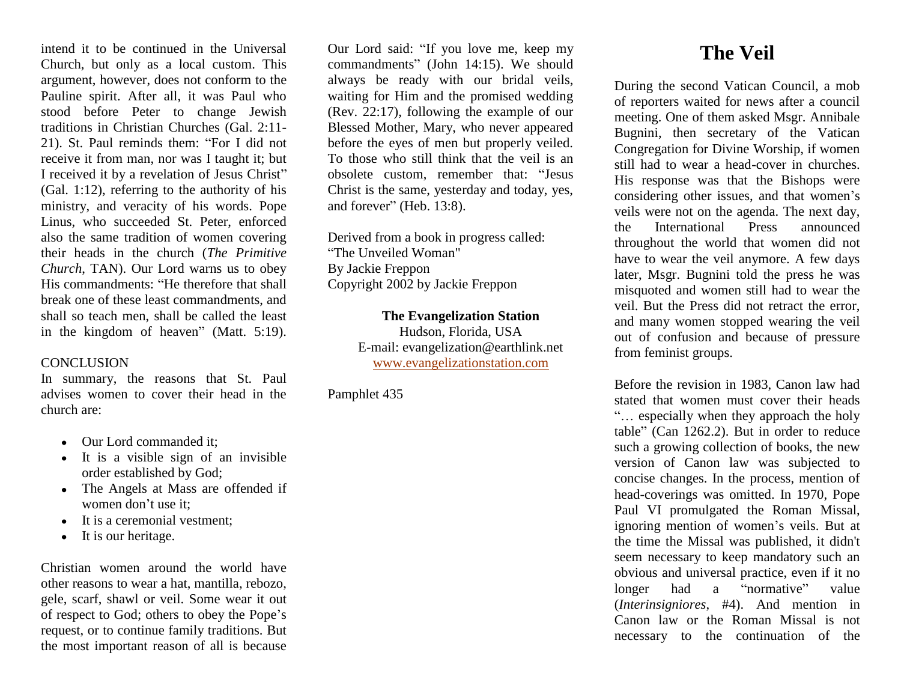intend it to be continued in the Universal Church, but only as a local custom. This argument, however, does not conform to the Pauline spirit. After all, it was Paul who stood before Peter to change Jewish traditions in Christian Churches (Gal. 2:11- 21). St. Paul reminds them: "For I did not receive it from man, nor was I taught it; but I received it by a revelation of Jesus Christ" (Gal. 1:12), referring to the authority of his ministry, and veracity of his words. Pope Linus, who succeeded St. Peter, enforced also the same tradition of women covering their heads in the church (*The Primitive Church*, TAN). Our Lord warns us to obey His commandments: "He therefore that shall break one of these least commandments, and shall so teach men, shall be called the least in the kingdom of heaven" (Matt. 5:19).

# **CONCLUSION**

In summary, the reasons that St. Paul advises women to cover their head in the church are:

- Our Lord commanded it:
- It is a visible sign of an invisible order established by God;
- The Angels at Mass are offended if women don't use it;
- It is a ceremonial vestment;
- It is our heritage.

Christian women around the world have other reasons to wear a hat, mantilla, rebozo, gele, scarf, shawl or veil. Some wear it out of respect to God; others to obey the Pope's request, or to continue family traditions. But the most important reason of all is because

Our Lord said: "If you love me, keep my commandments" (John 14:15). We should always be ready with our bridal veils, waiting for Him and the promised wedding (Rev. 22:17), following the example of our Blessed Mother, Mary, who never appeared before the eyes of men but properly veiled. To those who still think that the veil is an obsolete custom, remember that: "Jesus Christ is the same, yesterday and today, yes, and forever" (Heb. 13:8).

Derived from a book in progress called: "The Unveiled Woman" By Jackie Freppon Copyright 2002 by Jackie Freppon

**The Evangelization Station** 

Hudson, Florida, USA E-mail: evangelization@earthlink.net [www.evangelizationstation.com](http://www.pjpiisoe.org/)

Pamphlet 435

# **The Veil**

During the second Vatican Council, a mob of reporters waited for news after a council meeting. One of them asked Msgr. Annibale Bugnini, then secretary of the Vatican Congregation for Divine Worship, if women still had to wear a head-cover in churches. His response was that the Bishops were considering other issues, and that women's veils were not on the agenda. The next day, the International Press announced throughout the world that women did not have to wear the veil anymore. A few days later, Msgr. Bugnini told the press he was misquoted and women still had to wear the veil. But the Press did not retract the error, and many women stopped wearing the veil out of confusion and because of pressure from feminist groups.

Before the revision in 1983, Canon law had stated that women must cover their heads "… especially when they approach the holy table" (Can 1262.2). But in order to reduce such a growing collection of books, the new version of Canon law was subjected to concise changes. In the process, mention of head-coverings was omitted. In 1970, Pope Paul VI promulgated the Roman Missal, ignoring mention of women's veils. But at the time the Missal was published, it didn't seem necessary to keep mandatory such an obvious and universal practice, even if it no longer had a "normative" value (*Interinsigniores*, #4). And mention in Canon law or the Roman Missal is not necessary to the continuation of the